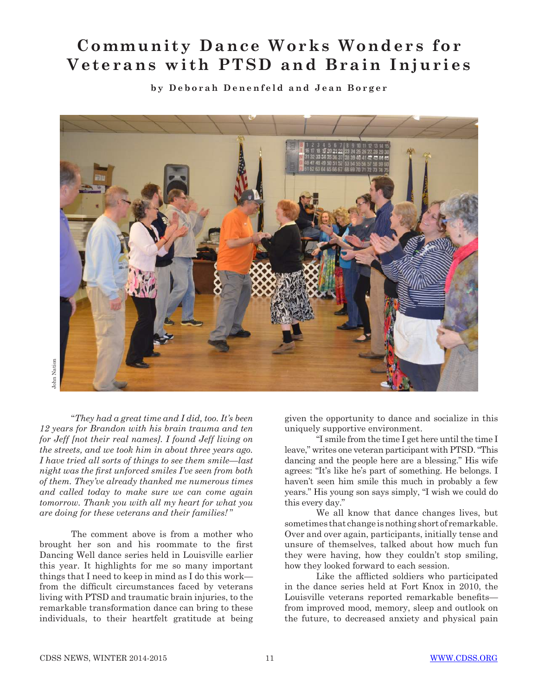## **Community Dance Works Wonders for Veterans with PTSD and Brain Injuries**

**by Deborah Denenfeld and Jean Borger**



John Nation John Nation

"*They had a great time and I did, too. It's been 12 years for Brandon with his brain trauma and ten for Jeff [not their real names]. I found Jeff living on the streets, and we took him in about three years ago. I have tried all sorts of things to see them smile*—*last night was the first unforced smiles I've seen from both of them. They've already thanked me numerous times and called today to make sure we can come again tomorrow. Thank you with all my heart for what you are doing for these veterans and their families!* "

The comment above is from a mother who brought her son and his roommate to the first Dancing Well dance series held in Louisville earlier this year. It highlights for me so many important things that I need to keep in mind as I do this work from the difficult circumstances faced by veterans living with PTSD and traumatic brain injuries, to the remarkable transformation dance can bring to these individuals, to their heartfelt gratitude at being given the opportunity to dance and socialize in this uniquely supportive environment.

"I smile from the time I get here until the time I leave," writes one veteran participant with PTSD. "This dancing and the people here are a blessing." His wife agrees: "It's like he's part of something. He belongs. I haven't seen him smile this much in probably a few years." His young son says simply, "I wish we could do this every day."

We all know that dance changes lives, but sometimes that change is nothing short of remarkable. Over and over again, participants, initially tense and unsure of themselves, talked about how much fun they were having, how they couldn't stop smiling, how they looked forward to each session.

 Like the afflicted soldiers who participated in the dance series held at Fort Knox in 2010, the Louisville veterans reported remarkable benefits from improved mood, memory, sleep and outlook on the future, to decreased anxiety and physical pain